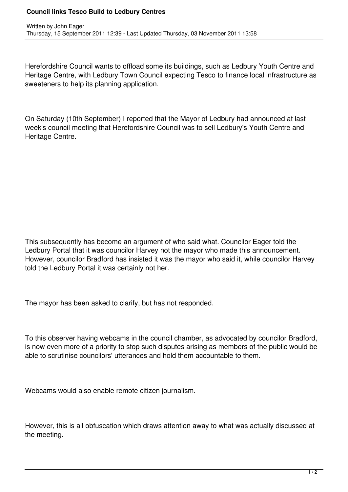## **Council links Tesco Build to Ledbury Centres**

Herefordshire Council wants to offload some its buildings, such as Ledbury Youth Centre and Heritage Centre, with Ledbury Town Council expecting Tesco to finance local infrastructure as sweeteners to help its planning application.

On Saturday (10th September) I reported that the Mayor of Ledbury had announced at last week's council meeting that Herefordshire Council was to sell Ledbury's Youth Centre and Heritage Centre.

This subsequently has become an argument of who said what. Councilor Eager told the Ledbury Portal that it was councilor Harvey not the mayor who made this announcement. However, councilor Bradford has insisted it was the mayor who said it, while councilor Harvey told the Ledbury Portal it was certainly not her.

The mayor has been asked to clarify, but has not responded.

To this observer having webcams in the council chamber, as advocated by councilor Bradford, is now even more of a priority to stop such disputes arising as members of the public would be able to scrutinise councilors' utterances and hold them accountable to them.

Webcams would also enable remote citizen journalism.

However, this is all obfuscation which draws attention away to what was actually discussed at the meeting.